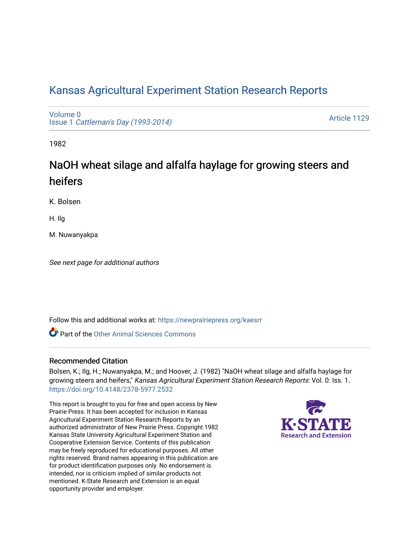# [Kansas Agricultural Experiment Station Research Reports](https://newprairiepress.org/kaesrr)

[Volume 0](https://newprairiepress.org/kaesrr/vol0) Issue 1 [Cattleman's Day \(1993-2014\)](https://newprairiepress.org/kaesrr/vol0/iss1) 

[Article 1129](https://newprairiepress.org/kaesrr/vol0/iss1/1129) 

1982

# NaOH wheat silage and alfalfa haylage for growing steers and heifers

K. Bolsen

H. Ilg

M. Nuwanyakpa

See next page for additional authors

Follow this and additional works at: [https://newprairiepress.org/kaesrr](https://newprairiepress.org/kaesrr?utm_source=newprairiepress.org%2Fkaesrr%2Fvol0%2Fiss1%2F1129&utm_medium=PDF&utm_campaign=PDFCoverPages) 

**C** Part of the [Other Animal Sciences Commons](http://network.bepress.com/hgg/discipline/82?utm_source=newprairiepress.org%2Fkaesrr%2Fvol0%2Fiss1%2F1129&utm_medium=PDF&utm_campaign=PDFCoverPages)

### Recommended Citation

Bolsen, K.; Ilg, H.; Nuwanyakpa, M.; and Hoover, J. (1982) "NaOH wheat silage and alfalfa haylage for growing steers and heifers," Kansas Agricultural Experiment Station Research Reports: Vol. 0: Iss. 1. <https://doi.org/10.4148/2378-5977.2532>

This report is brought to you for free and open access by New Prairie Press. It has been accepted for inclusion in Kansas Agricultural Experiment Station Research Reports by an authorized administrator of New Prairie Press. Copyright 1982 Kansas State University Agricultural Experiment Station and Cooperative Extension Service. Contents of this publication may be freely reproduced for educational purposes. All other rights reserved. Brand names appearing in this publication are for product identification purposes only. No endorsement is intended, nor is criticism implied of similar products not mentioned. K-State Research and Extension is an equal opportunity provider and employer.

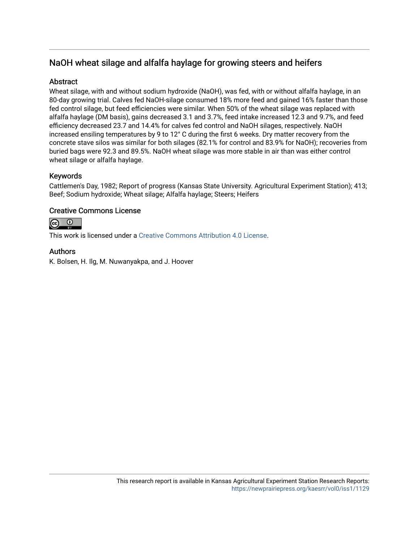## NaOH wheat silage and alfalfa haylage for growing steers and heifers

## **Abstract**

Wheat silage, with and without sodium hydroxide (NaOH), was fed, with or without alfalfa haylage, in an 80-day growing trial. Calves fed NaOH-silage consumed 18% more feed and gained 16% faster than those fed control silage, but feed efficiencies were similar. When 50% of the wheat silage was replaced with alfalfa haylage (DM basis), gains decreased 3.1 and 3.7%, feed intake increased 12.3 and 9.7%, and feed efficiency decreased 23.7 and 14.4% for calves fed control and NaOH silages, respectively. NaOH increased ensiling temperatures by 9 to 12° C during the first 6 weeks. Dry matter recovery from the concrete stave silos was similar for both silages (82.1% for control and 83.9% for NaOH); recoveries from buried bags were 92.3 and 89.5%. NaOH wheat silage was more stable in air than was either control wheat silage or alfalfa haylage.

## Keywords

Cattlemen's Day, 1982; Report of progress (Kansas State University. Agricultural Experiment Station); 413; Beef; Sodium hydroxide; Wheat silage; Alfalfa haylage; Steers; Heifers

### Creative Commons License



This work is licensed under a [Creative Commons Attribution 4.0 License](https://creativecommons.org/licenses/by/4.0/).

### Authors

K. Bolsen, H. Ilg, M. Nuwanyakpa, and J. Hoover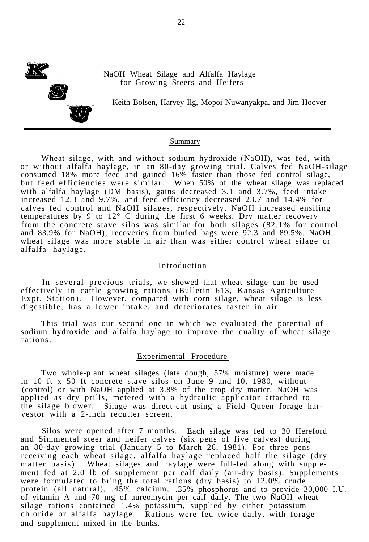

NaOH Wheat Silage and Alfalfa Haylage for Growing Steers and Heifers

Keith Bolsen, Harvey Ilg, Mopoi Nuwanyakpa, and Jim Hoover

#### Summary

Wheat silage, with and without sodium hydroxide (NaOH), was fed, with or without alfalfa haylage, in an 80-day growing trial. Calves fed NaOH-silage consumed 18% more feed and gained 16% faster than those fed control silage, but feed efficiencies were similar. When 50% of the wheat silage was replaced with alfalfa haylage (DM basis), gains decreased 3.1 and 3.7%, feed intake increased 12.3 and 9.7%, and feed efficiency decreased 23.7 and 14.4% for calves fed control and NaOH silages, respectively. NaOH increased ensiling temperatures by 9 to 12° C during the first 6 weeks. Dry matter recovery from the concrete stave silos was similar for both silages (82.1% for control and 83.9% for NaOH); recoveries from buried bags were 92.3 and 89.5%. NaOH wheat silage was more stable in air than was either control wheat silage or alfalfa haylage.

#### Introduction

In several previous trials, we showed that wheat silage can be used effectively in cattle growing rations (Bulletin 613, Kansas Agriculture Expt. Station). However, compared with corn silage, wheat silage is less digestible, has a lower intake, and deteriorates faster in air.

This trial was our second one in which we evaluated the potential of sodium hydroxide and alfalfa haylage to improve the quality of wheat silage rations.

#### Experimental Procedure

Two whole-plant wheat silages (late dough, 57% moisture) were made in 10 ft x 50 ft concrete stave silos on June 9 and 10, 1980, without (control) or with NaOH applied at 3.8% of the crop dry matter. NaOH was applied as dry prills, metered with a hydraulic applicator attached to the silage blower. Silage was direct-cut using a Field Queen forage harvestor with a 2-inch recutter screen.

Silos were opened after 7 months. Each silage was fed to 30 Hereford and Simmental steer and heifer calves (six pens of five calves) during an 80-day growing trial (January 5 to March 26, 1981). For three pens receiving each wheat silage, alfalfa haylage replaced half the silage (dry matter basis). Wheat silages and haylage were full-fed along with supplement fed at 2.0 lb of supplement per calf daily (air-dry basis). Supplements were formulated to bring the total rations (dry basis) to 12.0% crude protein (all natural), .45% calcium, .35% phosphorus and to provide 30,000 I.U. of vitamin A and 70 mg of aureomycin per calf daily. The two NaOH wheat silage rations contained 1.4% potassium, supplied by either potassium chloride or alfalfa haylage. Rations were fed twice daily, with forage and supplement mixed in the bunks.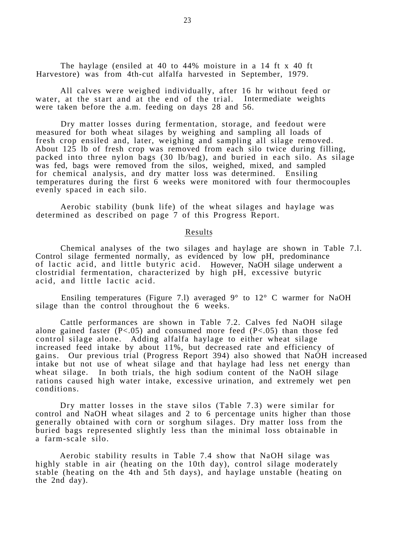The haylage (ensiled at 40 to 44% moisture in a 14 ft x 40 ft Harvestore) was from 4th-cut alfalfa harvested in September, 1979.

All calves were weighed individually, after 16 hr without feed or water, at the start and at the end of the trial. Intermediate weights were taken before the a.m. feeding on days 28 and 56.

Dry matter losses during fermentation, storage, and feedout were measured for both wheat silages by weighing and sampling all loads of fresh crop ensiled and, later, weighing and sampling all silage removed. About 125 lb of fresh crop was removed from each silo twice during filling, packed into three nylon bags (30 lb/bag), and buried in each silo. As silage was fed, bags were removed from the silos, weighed, mixed, and sampled for chemical analysis, and dry matter loss was determined. Ensiling temperatures during the first 6 weeks were monitored with four thermocouples evenly spaced in each silo.

Aerobic stability (bunk life) of the wheat silages and haylage was determined as described on page 7 of this Progress Report.

#### Results

Chemical analyses of the two silages and haylage are shown in Table 7.l. Control silage fermented normally, as evidenced by low pH, predominance of lactic acid, and little butyric acid. However, NaOH silage underwent a clostridial fermentation, characterized by high pH, excessive butyric acid, and little lactic acid.

Ensiling temperatures (Figure 7.1) averaged  $9^{\circ}$  to  $12^{\circ}$  C warmer for NaOH silage than the control throughout the 6 weeks.

Cattle performances are shown in Table 7.2. Calves fed NaOH silage alone gained faster  $(P<.05)$  and consumed more feed  $(P<.05)$  than those fed control silage alone. Adding alfalfa haylage to either wheat silage increased feed intake by about 11%, but decreased rate and efficiency of gains. Our previous trial (Progress Report 394) also showed that NaOH increased intake but not use of wheat silage and that haylage had less net energy than wheat silage. In both trials, the high sodium content of the NaOH silage rations caused high water intake, excessive urination, and extremely wet pen conditions.

Dry matter losses in the stave silos (Table 7.3) were similar for control and NaOH wheat silages and 2 to 6 percentage units higher than those generally obtained with corn or sorghum silages. Dry matter loss from the buried bags represented slightly less than the minimal loss obtainable in a farm-scale silo.

Aerobic stability results in Table 7.4 show that NaOH silage was highly stable in air (heating on the 10th day), control silage moderately stable (heating on the 4th and 5th days), and haylage unstable (heating on the 2nd day).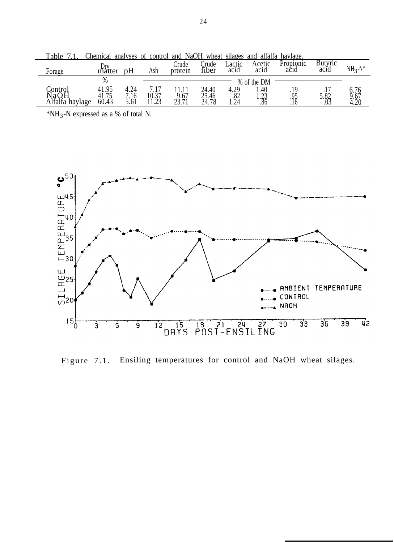| 1 uviv<br>.             | $\sim$                      |      |                    |                 |                |                | $\cdots$       |                   |                 |                      |
|-------------------------|-----------------------------|------|--------------------|-----------------|----------------|----------------|----------------|-------------------|-----------------|----------------------|
| Forage                  | Dry<br>matter               | рH   | Ash                | rude<br>protein | rude)<br>fiber | Lactic<br>acid | Acetic<br>acid | Propionic<br>acid | Butyric<br>acid | $NH3-N*$             |
|                         | %                           |      |                    |                 |                |                |                |                   |                 |                      |
|                         |                             |      |                    |                 |                |                | % of the DM    |                   |                 |                      |
| Control                 | .95<br>41                   | +.∠⊣ | .                  |                 | 24.40          | 4.29           | .40            |                   |                 |                      |
|                         |                             | .16  | $10.\overline{37}$ | 2.67            |                | .82            | $\bigcap$      | Q5                | 5.82            |                      |
| NaOH<br>Alfalfa haylage | $4\overline{1.75}$<br>60.43 |      |                    |                 | 25.46<br>24.78 |                | ر ∠.⊥<br>.86   | ں ر،              | .03             | 6.76<br>9.67<br>4.20 |
|                         |                             |      |                    |                 |                | l . 24         |                | .10               |                 |                      |

Table 7.1. Chemical analyses of control and NaOH wheat silages and alfalfa haylage.

 $*NH_3-N$  expressed as a % of total N.



Figure 7.1. Ensiling temperatures for control and NaOH wheat silages.